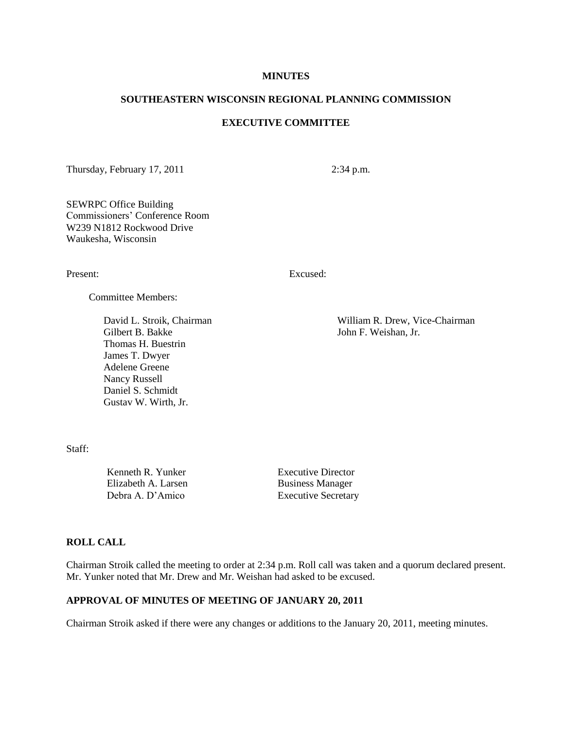#### **MINUTES**

#### **SOUTHEASTERN WISCONSIN REGIONAL PLANNING COMMISSION**

## **EXECUTIVE COMMITTEE**

Thursday, February 17, 2011 2:34 p.m.

SEWRPC Office Building Commissioners' Conference Room W239 N1812 Rockwood Drive Waukesha, Wisconsin

Present: Excused:

Committee Members:

Gilbert B. Bakke John F. Weishan, Jr. Thomas H. Buestrin James T. Dwyer Adelene Greene Nancy Russell Daniel S. Schmidt Gustav W. Wirth, Jr.

David L. Stroik, Chairman William R. Drew, Vice-Chairman

Staff:

Kenneth R. Yunker Executive Director Elizabeth A. Larsen Business Manager

Debra A. D'Amico Executive Secretary

## **ROLL CALL**

Chairman Stroik called the meeting to order at 2:34 p.m. Roll call was taken and a quorum declared present. Mr. Yunker noted that Mr. Drew and Mr. Weishan had asked to be excused.

#### **APPROVAL OF MINUTES OF MEETING OF JANUARY 20, 2011**

Chairman Stroik asked if there were any changes or additions to the January 20, 2011, meeting minutes.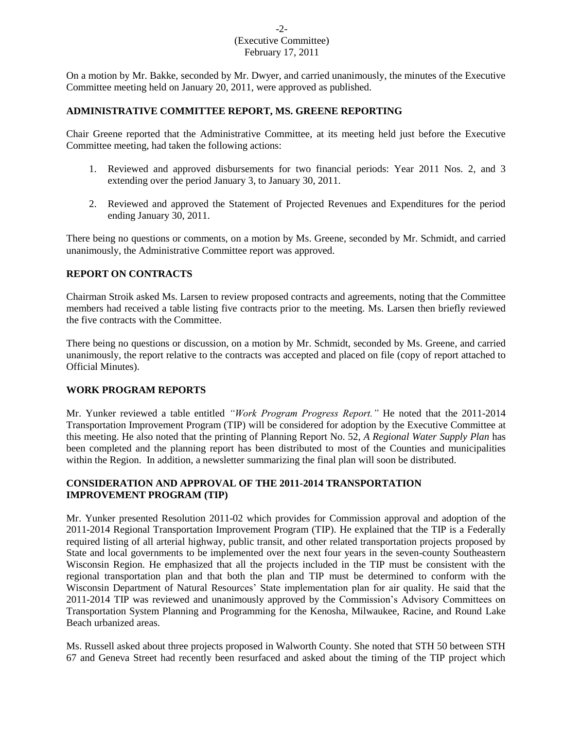## -2- (Executive Committee) February 17, 2011

On a motion by Mr. Bakke, seconded by Mr. Dwyer, and carried unanimously, the minutes of the Executive Committee meeting held on January 20, 2011, were approved as published.

#### **ADMINISTRATIVE COMMITTEE REPORT, MS. GREENE REPORTING**

Chair Greene reported that the Administrative Committee, at its meeting held just before the Executive Committee meeting, had taken the following actions:

- 1. Reviewed and approved disbursements for two financial periods: Year 2011 Nos. 2, and 3 extending over the period January 3, to January 30, 2011.
- 2. Reviewed and approved the Statement of Projected Revenues and Expenditures for the period ending January 30, 2011.

There being no questions or comments, on a motion by Ms. Greene, seconded by Mr. Schmidt, and carried unanimously, the Administrative Committee report was approved.

## **REPORT ON CONTRACTS**

Chairman Stroik asked Ms. Larsen to review proposed contracts and agreements, noting that the Committee members had received a table listing five contracts prior to the meeting. Ms. Larsen then briefly reviewed the five contracts with the Committee.

There being no questions or discussion, on a motion by Mr. Schmidt, seconded by Ms. Greene, and carried unanimously, the report relative to the contracts was accepted and placed on file (copy of report attached to Official Minutes).

## **WORK PROGRAM REPORTS**

Mr. Yunker reviewed a table entitled *"Work Program Progress Report."* He noted that the 2011-2014 Transportation Improvement Program (TIP) will be considered for adoption by the Executive Committee at this meeting. He also noted that the printing of Planning Report No. 52, *A Regional Water Supply Plan* has been completed and the planning report has been distributed to most of the Counties and municipalities within the Region. In addition, a newsletter summarizing the final plan will soon be distributed.

# **CONSIDERATION AND APPROVAL OF THE 2011-2014 TRANSPORTATION IMPROVEMENT PROGRAM (TIP)**

Mr. Yunker presented Resolution 2011-02 which provides for Commission approval and adoption of the 2011-2014 Regional Transportation Improvement Program (TIP). He explained that the TIP is a Federally required listing of all arterial highway, public transit, and other related transportation projects proposed by State and local governments to be implemented over the next four years in the seven-county Southeastern Wisconsin Region. He emphasized that all the projects included in the TIP must be consistent with the regional transportation plan and that both the plan and TIP must be determined to conform with the Wisconsin Department of Natural Resources' State implementation plan for air quality. He said that the 2011-2014 TIP was reviewed and unanimously approved by the Commission's Advisory Committees on Transportation System Planning and Programming for the Kenosha, Milwaukee, Racine, and Round Lake Beach urbanized areas.

Ms. Russell asked about three projects proposed in Walworth County. She noted that STH 50 between STH 67 and Geneva Street had recently been resurfaced and asked about the timing of the TIP project which